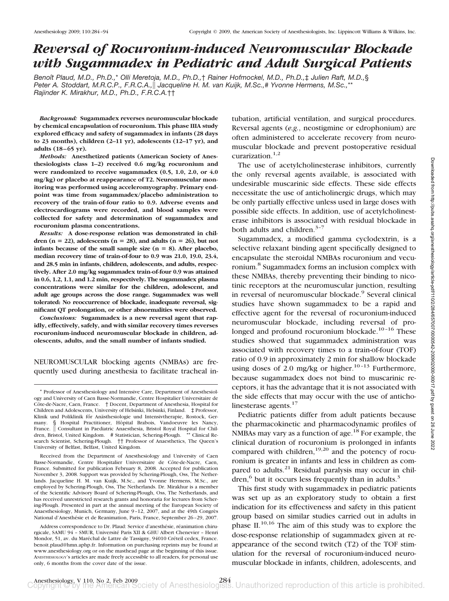# *Reversal of Rocuronium-induced Neuromuscular Blockade with Sugammadex in Pediatric and Adult Surgical Patients*

*Benoıˆt Plaud, M.D., Ph.D.,*\* *Olli Meretoja, M.D., Ph.D.,*† *Rainer Hofmockel, M.D., Ph.D.,*‡ *Julien Raft, M.D.,*§ *Peter A. Stoddart, M.R.C.P., F.R.C.A., Jacqueline H. M. van Kuijk, M.Sc.,*# *Yvonne Hermens, M.Sc.,*\*\* *Rajinder K. Mirakhur, M.D., Ph.D., F.R.C.A.*††

*Background:* **Sugammadex reverses neuromuscular blockade by chemical encapsulation of rocuronium. This phase IIIA study explored efficacy and safety of sugammadex in infants (28 days to 23 months), children (2–11 yr), adolescents (12–17 yr), and adults (18 – 65 yr).**

*Methods:* **Anesthetized patients (American Society of Anesthesiologists class 1–2) received 0.6 mg/kg rocuronium and were randomized to receive sugammadex (0.5, 1.0, 2.0, or 4.0 mg/kg) or placebo at reappearance of T2. Neuromuscular monitoring was performed using acceleromyography. Primary endpoint was time from sugammadex/placebo administration to recovery of the train-of-four ratio to 0.9. Adverse events and electrocardiograms were recorded, and blood samples were collected for safety and determination of sugammadex and rocuronium plasma concentrations.**

*Results:* **A dose-response relation was demonstrated in chil**dren  $(n = 22)$ , adolescents  $(n = 28)$ , and adults  $(n = 26)$ , but not **infants** because of the small sample size  $(n = 8)$ . After placebo, **median recovery time of train-of-four to 0.9 was 21.0, 19.0, 23.4, and 28.5 min in infants, children, adolescents, and adults, respectively. After 2.0 mg/kg sugammadex train-of-four 0.9 was attained in 0.6, 1.2, 1.1, and 1.2 min, respectively. The sugammadex plasma concentrations were similar for the children, adolescent, and adult age groups across the dose range. Sugammadex was well tolerated: No reoccurrence of blockade, inadequate reversal, significant QT prolongation, or other abnormalities were observed.**

*Conclusions:* **Sugammadex is a new reversal agent that rapidly, effectively, safely, and with similar recovery times reverses rocuronium-induced neuromuscular blockade in children, adolescents, adults, and the small number of infants studied.**

NEUROMUSCULAR blocking agents (NMBAs) are frequently used during anesthesia to facilitate tracheal in-

Received from the Department of Anesthesiology and University of Caen Basse-Normandie, Centre Hospitalier Universitaire de Côte-de-Nacre, Caen, France. Submitted for publication February 8, 2008. Accepted for publication November 3, 2008. Support was provided by Schering-Plough, Oss, The Netherlands. Jacqueline H. M. van Kuijk, M.Sc., and Yvonne Hermens, M.Sc., are employed by Schering-Plough, Oss, The Netherlands. Dr. Mirakhur is a member of the Scientific Advisory Board of Schering-Plough, Oss, The Netherlands, and has received unrestricted research grants and honoraria for lectures from Schering-Plough. Presented in part at the annual meeting of the European Society of Anaesthesiology, Munich, Germany, June 9-12, 2007, and at the 49th Congrès National d'Anesthésie et de Reanimation, Paris, France, September 26–29, 2007.

Address correspondence to Dr. Plaud: Service d'anesthésie, réanimation chirurgicale, SAMU 94 - SMUR, Université Paris XII & GHU Albert Chenevier - Henri Mondor, 51, av. du Maréchal de Lattre de Tassigny, 94010 Créteil cedex, France. benoit.plaud@hmn.aphp.fr. Information on purchasing reprints may be found at www.anesthesiology.org or on the masthead page at the beginning of this issue. ANESTHESIOLOGY's articles are made freely accessible to all readers, for personal use only, 6 months from the cover date of the issue.

tubation, artificial ventilation, and surgical procedures. Reversal agents (*e.g.*, neostigmine or edrophonium) are often administered to accelerate recovery from neuromuscular blockade and prevent postoperative residual curarization. $1,2$ 

The use of acetylcholinesterase inhibitors, currently the only reversal agents available, is associated with undesirable muscarinic side effects. These side effects necessitate the use of anticholinergic drugs, which may be only partially effective unless used in large doses with possible side effects. In addition, use of acetylcholinesterase inhibitors is associated with residual blockade in both adults and children.<sup>3-7</sup>

Sugammadex, a modified gamma cyclodextrin, is a selective relaxant binding agent specifically designed to encapsulate the steroidal NMBAs rocuronium and vecuronium.8 Sugammadex forms an inclusion complex with these NMBAs, thereby preventing their binding to nicotinic receptors at the neuromuscular junction, resulting in reversal of neuromuscular blockade.<sup>9</sup> Several clinical studies have shown sugammadex to be a rapid and effective agent for the reversal of rocuronium-induced neuromuscular blockade, including reversal of prolonged and profound rocuronium blockade.<sup>10-16</sup> These studies showed that sugammadex administration was associated with recovery times to a train-of-four (TOF) ratio of 0.9 in approximately 2 min for shallow blockade using doses of 2.0 mg/kg or higher.<sup>10–13</sup> Furthermore, because sugammadex does not bind to muscarinic receptors, it has the advantage that it is not associated with the side effects that may occur with the use of anticholinesterase agents. $17$ 

Pediatric patients differ from adult patients because the pharmacokinetic and pharmacodynamic profiles of NMBAs may vary as a function of age.<sup>18</sup> For example, the clinical duration of rocuronium is prolonged in infants compared with children, $19,20$  and the potency of rocuronium is greater in infants and less in children as compared to adults. $21$  Residual paralysis may occur in children, $6$  but it occurs less frequently than in adults.<sup>3</sup>

This first study with sugammadex in pediatric patients was set up as an exploratory study to obtain a first indication for its effectiveness and safety in this patient group based on similar studies carried out in adults in phase  $II^{10,16}$ . The aim of this study was to explore the dose-response relationship of sugammadex given at reappearance of the second twitch (T2) of the TOF stimulation for the reversal of rocuronium-induced neuromuscular blockade in infants, children, adolescents, and

<sup>\*</sup> Professor of Anesthesiology and Intensive Care, Department of Anesthesiology and University of Caen Basse-Normandie, Centre Hospitalier Universitaire de Côte-de-Nacre, Caen, France. † Docent, Department of Anesthesia, Hospital for Children and Adolescents, University of Helsinki, Helsinki, Finland. ‡ Professor, Klinik und Poliklinik főr Anästhesiologie und Intensivtherapie, Rostock, Germany. § Hospital Practitioner, Hôpital Brabois, Vandoeuvre les Nancy, France. | Consultant in Paediatric Anaesthesia, Bristol Royal Hospital for Children, Bristol, United Kingdom. # Statistician, Schering-Plough. \*\* Clinical Research Scientist, Schering-Plough. †† Professor of Anaesthetics, The Queen's University of Belfast, Belfast, United Kingdom.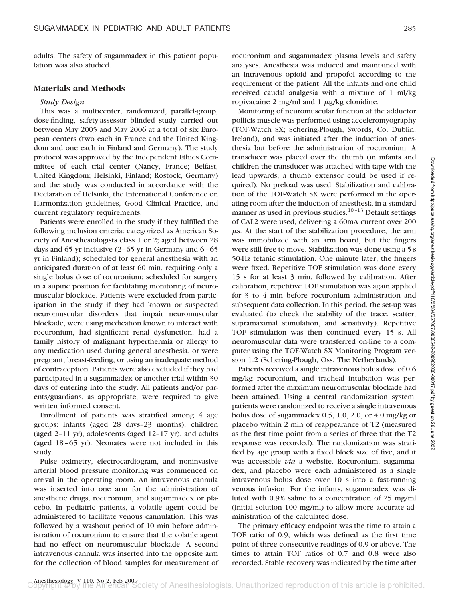adults. The safety of sugammadex in this patient population was also studied.

# **Materials and Methods**

#### *Study Design*

This was a multicenter, randomized, parallel-group, dose-finding, safety-assessor blinded study carried out between May 2005 and May 2006 at a total of six European centers (two each in France and the United Kingdom and one each in Finland and Germany). The study protocol was approved by the Independent Ethics Committee of each trial center (Nancy, France; Belfast, United Kingdom; Helsinki, Finland; Rostock, Germany) and the study was conducted in accordance with the Declaration of Helsinki, the International Conference on Harmonization guidelines, Good Clinical Practice, and current regulatory requirements.

Patients were enrolled in the study if they fulfilled the following inclusion criteria: categorized as American Society of Anesthesiologists class 1 or 2; aged between 28 days and 65 yr inclusive  $(2-65 \text{ yr})$  in Germany and  $6-65$ yr in Finland); scheduled for general anesthesia with an anticipated duration of at least 60 min, requiring only a single bolus dose of rocuronium; scheduled for surgery in a supine position for facilitating monitoring of neuromuscular blockade. Patients were excluded from participation in the study if they had known or suspected neuromuscular disorders that impair neuromuscular blockade, were using medication known to interact with rocuronium, had significant renal dysfunction, had a family history of malignant hyperthermia or allergy to any medication used during general anesthesia, or were pregnant, breast-feeding, or using an inadequate method of contraception. Patients were also excluded if they had participated in a sugammadex or another trial within 30 days of entering into the study. All patients and/or parents/guardians, as appropriate, were required to give written informed consent.

Enrollment of patients was stratified among 4 age groups: infants (aged 28 days–23 months), children (aged 2–11 yr), adolescents (aged 12–17 yr), and adults (aged 18–65 yr). Neonates were not included in this study.

Pulse oximetry, electrocardiogram, and noninvasive arterial blood pressure monitoring was commenced on arrival in the operating room. An intravenous cannula was inserted into one arm for the administration of anesthetic drugs, rocuronium, and sugammadex or placebo. In pediatric patients, a volatile agent could be administered to facilitate venous cannulation. This was followed by a washout period of 10 min before administration of rocuronium to ensure that the volatile agent had no effect on neuromuscular blockade. A second intravenous cannula was inserted into the opposite arm for the collection of blood samples for measurement of

Monitoring of neuromuscular function at the adductor pollicis muscle was performed using acceleromyography (TOF-Watch SX; Schering-Plough, Swords, Co. Dublin, Ireland), and was initiated after the induction of anesthesia but before the administration of rocuronium. A transducer was placed over the thumb (in infants and children the transducer was attached with tape with the lead upwards; a thumb extensor could be used if required). No preload was used. Stabilization and calibration of the TOF-Watch SX were performed in the operating room after the induction of anesthesia in a standard manner as used in previous studies.<sup>10-13</sup> Default settings of CAL2 were used, delivering a 60mA current over 200  $\mu$ s. At the start of the stabilization procedure, the arm was immobilized with an arm board, but the fingers were still free to move. Stabilization was done using a 5-s 50-Hz tetanic stimulation. One minute later, the fingers were fixed. Repetitive TOF stimulation was done every 15 s for at least 3 min, followed by calibration. After calibration, repetitive TOF stimulation was again applied for 3 to 4 min before rocuronium administration and subsequent data collection. In this period, the set-up was evaluated (to check the stability of the trace, scatter, supramaximal stimulation, and sensitivity). Repetitive TOF stimulation was then continued every 15 s. All neuromuscular data were transferred on-line to a computer using the TOF-Watch SX Monitoring Program version 1.2 (Schering-Plough, Oss, The Netherlands).

Patients received a single intravenous bolus dose of 0.6 mg/kg rocuronium, and tracheal intubation was performed after the maximum neuromuscular blockade had been attained. Using a central randomization system, patients were randomized to receive a single intravenous bolus dose of sugammadex 0.5, 1.0, 2.0, or 4.0 mg/kg or placebo within 2 min of reappearance of T2 (measured as the first time point from a series of three that the T2 response was recorded). The randomization was stratified by age group with a fixed block size of five, and it was accessible *via* a website. Rocuronium, sugammadex, and placebo were each administered as a single intravenous bolus dose over 10 s into a fast-running venous infusion. For the infants, sugammadex was diluted with 0.9% saline to a concentration of 25 mg/ml (initial solution 100 mg/ml) to allow more accurate administration of the calculated dose.

The primary efficacy endpoint was the time to attain a TOF ratio of 0.9, which was defined as the first time point of three consecutive readings of 0.9 or above. The times to attain TOF ratios of 0.7 and 0.8 were also recorded. Stable recovery was indicated by the time after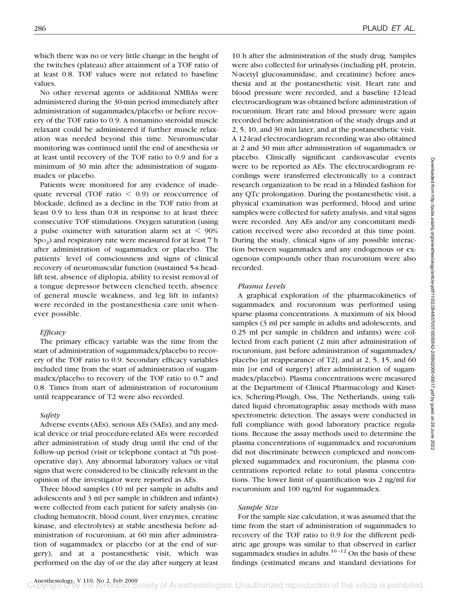which there was no or very little change in the height of the twitches (plateau) after attainment of a TOF ratio of at least 0.8. TOF values were not related to baseline values.

No other reversal agents or additional NMBAs were administered during the 30-min period immediately after administration of sugammadex/placebo or before recovery of the TOF ratio to 0.9. A nonamino steroidal muscle relaxant could be administered if further muscle relaxation was needed beyond this time. Neuromuscular monitoring was continued until the end of anesthesia or at least until recovery of the TOF ratio to 0.9 and for a minimum of 30 min after the administration of sugammadex or placebo.

Patients were monitored for any evidence of inadequate reversal (TOF ratio  $\leq 0.9$ ) or reoccurrence of blockade, defined as a decline in the TOF ratio from at least 0.9 to less than 0.8 in response to at least three consecutive TOF stimulations. Oxygen saturation (using a pulse oximeter with saturation alarm set at  $< 90\%$  $Spo<sub>2</sub>$ ) and respiratory rate were measured for at least 7 h after administration of sugammadex or placebo. The patients' level of consciousness and signs of clinical recovery of neuromuscular function (sustained 5-s headlift test, absence of diplopia, ability to resist removal of a tongue depressor between clenched teeth, absence of general muscle weakness, and leg lift in infants) were recorded in the postanesthesia care unit whenever possible.

# *Efficacy*

The primary efficacy variable was the time from the start of administration of sugammadex/placebo to recovery of the TOF ratio to 0.9. Secondary efficacy variables included time from the start of administration of sugammadex/placebo to recovery of the TOF ratio to 0.7 and 0.8. Times from start of administration of rocuronium until reappearance of T2 were also recorded.

# *Safety*

Adverse events (AEs), serious AEs (SAEs), and any medical device or trial procedure-related AEs were recorded after administration of study drug until the end of the follow-up period (visit or telephone contact at 7th postoperative day). Any abnormal laboratory values or vital signs that were considered to be clinically relevant in the opinion of the investigator were reported as AEs.

Three blood samples (10 ml per sample in adults and adolescents and 3 ml per sample in children and infants) were collected from each patient for safety analysis (including hematocrit, blood count, liver enzymes, creatine kinase, and electrolytes) at stable anesthesia before administration of rocuronium, at 60 min after administration of sugammadex or placebo (or at the end of surgery), and at a postanesthetic visit, which was performed on the day of or the day after surgery at least 10 h after the administration of the study drug. Samples were also collected for urinalysis (including pH, protein, N-acetyl glucosaminidase, and creatinine) before anesthesia and at the postanesthetic visit. Heart rate and blood pressure were recorded, and a baseline 12-lead electrocardiogram was obtained before administration of rocuronium. Heart rate and blood pressure were again recorded before administration of the study drugs and at 2, 5, 10, and 30 min later, and at the postanesthetic visit. A 12-lead electrocardiogram recording was also obtained at 2 and 30 min after administration of sugammadex or placebo. Clinically significant cardiovascular events were to be reported as AEs. The electrocardiogram recordings were transferred electronically to a contract research organization to be read in a blinded fashion for any QTc prolongation. During the postanesthetic visit, a physical examination was performed, blood and urine samples were collected for safety analysis, and vital signs were recorded. Any AEs and/or any concomitant medication received were also recorded at this time point. During the study, clinical signs of any possible interaction between sugammadex and any endogenous or exogenous compounds other than rocuronium were also recorded.

#### *Plasma Levels*

A graphical exploration of the pharmacokinetics of sugammadex and rocuronium was performed using sparse plasma concentrations. A maximum of six blood samples (3 ml per sample in adults and adolescents, and 0.25 ml per sample in children and infants) were collected from each patient (2 min after administration of rocuronium, just before administration of sugammadex/ placebo [at reappearance of T2], and at 2, 5, 15, and 60 min [or end of surgery] after administration of sugammadex/placebo). Plasma concentrations were measured at the Department of Clinical Pharmacology and Kinetics, Schering-Plough, Oss, The Netherlands, using validated liquid chromatographic assay methods with mass spectrometric detection. The assays were conducted in full compliance with good laboratory practice regulations. Because the assay methods used to determine the plasma concentrations of sugammadex and rocuronium did not discriminate between complexed and noncomplexed sugammadex and rocuronium, the plasma concentrations reported relate to total plasma concentrations. The lower limit of quantification was 2 ng/ml for rocuronium and 100 ng/ml for sugammadex.

# *Sample Size*

For the sample size calculation, it was assumed that the time from the start of administration of sugammadex to recovery of the TOF ratio to 0.9 for the different pediatric age groups was similar to that observed in earlier sugammadex studies in adults. $10-12$  On the basis of these findings (estimated means and standard deviations for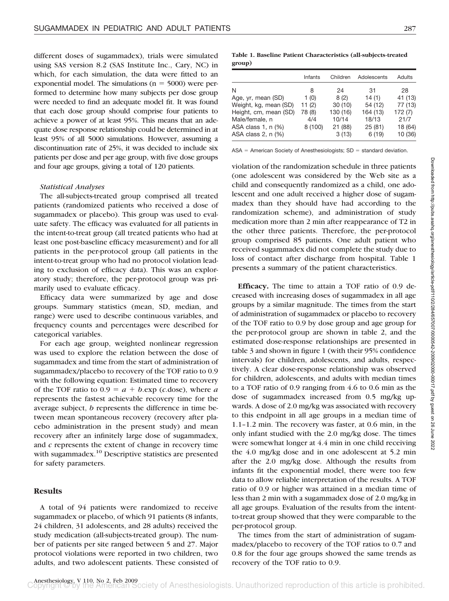different doses of sugammadex), trials were simulated using SAS version 8.2 (SAS Institute Inc., Cary, NC) in which, for each simulation, the data were fitted to an exponential model. The simulations  $(n = 5000)$  were performed to determine how many subjects per dose group were needed to find an adequate model fit. It was found that each dose group should comprise four patients to achieve a power of at least 95%. This means that an adequate dose response relationship could be determined in at least 95% of all 5000 simulations. However, assuming a discontinuation rate of 25%, it was decided to include six patients per dose and per age group, with five dose groups and four age groups, giving a total of 120 patients.

#### *Statistical Analyses*

The all-subjects-treated group comprised all treated patients (randomized patients who received a dose of sugammadex or placebo). This group was used to evaluate safety. The efficacy was evaluated for all patients in the intent-to-treat group (all treated patients who had at least one post-baseline efficacy measurement) and for all patients in the per-protocol group (all patients in the intent-to-treat group who had no protocol violation leading to exclusion of efficacy data). This was an exploratory study; therefore, the per-protocol group was primarily used to evaluate efficacy.

Efficacy data were summarized by age and dose groups. Summary statistics (mean, SD, median, and range) were used to describe continuous variables, and frequency counts and percentages were described for categorical variables.

For each age group, weighted nonlinear regression was used to explore the relation between the dose of sugammadex and time from the start of administration of sugammadex/placebo to recovery of the TOF ratio to 0.9 with the following equation: Estimated time to recovery of the TOF ratio to  $0.9 = a + b$ .exp (*c*.dose), where *a* represents the fastest achievable recovery time for the average subject, *b* represents the difference in time between mean spontaneous recovery (recovery after placebo administration in the present study) and mean recovery after an infinitely large dose of sugammadex, and *c* represents the extent of change in recovery time with sugammadex.<sup>10</sup> Descriptive statistics are presented for safety parameters.

# **Results**

A total of 94 patients were randomized to receive sugammadex or placebo, of which 91 patients (8 infants, 24 children, 31 adolescents, and 28 adults) received the study medication (all-subjects-treated group). The number of patients per site ranged between 5 and 27. Major protocol violations were reported in two children, two adults, and two adolescent patients. These consisted of

**Table 1. Baseline Patient Characteristics (all-subjects-treated group)**

|                       | Infants | Children | Adolescents | Adults  |
|-----------------------|---------|----------|-------------|---------|
| N                     | 8       | 24       | 31          | 28      |
| Age, yr, mean (SD)    | 1(0)    | 8(2)     | 14(1)       | 41 (13) |
| Weight, kg, mean (SD) | 11(2)   | 30(10)   | 54 (12)     | 77 (13) |
| Height, cm, mean (SD) | 78 (8)  | 130 (16) | 164 (13)    | 172 (7) |
| Male/female, n        | 4/4     | 10/14    | 18/13       | 21/7    |
| ASA class 1, n (%)    | 8(100)  | 21 (88)  | 25(81)      | 18 (64) |
| ASA class 2, n (%)    |         | 3(13)    | 6(19)       | 10 (36) |

 $ASA = American Society$  of Anesthesiologists;  $SD = standard deviation$ .

violation of the randomization schedule in three patients (one adolescent was considered by the Web site as a child and consequently randomized as a child, one adolescent and one adult received a higher dose of sugammadex than they should have had according to the randomization scheme), and administration of study medication more than 2 min after reappearance of T2 in the other three patients. Therefore, the per-protocol group comprised 85 patients. One adult patient who received sugammadex did not complete the study due to loss of contact after discharge from hospital. Table 1 presents a summary of the patient characteristics.

**Efficacy.** The time to attain a TOF ratio of 0.9 decreased with increasing doses of sugammadex in all age groups by a similar magnitude. The times from the start of administration of sugammadex or placebo to recovery of the TOF ratio to 0.9 by dose group and age group for the per-protocol group are shown in table 2, and the estimated dose-response relationships are presented in table 3 and shown in figure 1 (with their 95% confidence intervals) for children, adolescents, and adults, respectively. A clear dose-response relationship was observed for children, adolescents, and adults with median times to a TOF ratio of 0.9 ranging from 4.6 to 0.6 min as the dose of sugammadex increased from 0.5 mg/kg upwards. A dose of 2.0 mg/kg was associated with recovery to this endpoint in all age groups in a median time of 1.1–1.2 min. The recovery was faster, at 0.6 min, in the only infant studied with the 2.0 mg/kg dose. The times were somewhat longer at 4.4 min in one child receiving the 4.0 mg/kg dose and in one adolescent at 5.2 min after the 2.0 mg/kg dose. Although the results from infants fit the exponential model, there were too few data to allow reliable interpretation of the results. A TOF ratio of 0.9 or higher was attained in a median time of less than 2 min with a sugammadex dose of 2.0 mg/kg in all age groups. Evaluation of the results from the intentto-treat group showed that they were comparable to the per-protocol group.

The times from the start of administration of sugammadex/placebo to recovery of the TOF ratios to 0.7 and 0.8 for the four age groups showed the same trends as recovery of the TOF ratio to 0.9.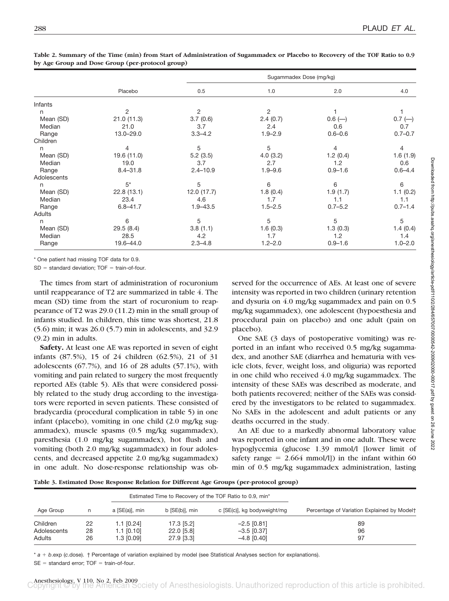|             |                | Sugammadex Dose (mg/kg) |             |             |             |  |  |
|-------------|----------------|-------------------------|-------------|-------------|-------------|--|--|
|             | Placebo        | 0.5                     | 1.0         | 2.0         | 4.0         |  |  |
| Infants     |                |                         |             |             |             |  |  |
| n           | $\overline{c}$ | 2                       | 2           |             |             |  |  |
| Mean (SD)   | 21.0(11.3)     | 3.7(0.6)                | 2.4(0.7)    | $0.6$ (-)   | $0.7$ (-)   |  |  |
| Median      | 21.0           | 3.7                     | 2.4         | 0.6         | 0.7         |  |  |
| Range       | 13.0-29.0      | $3.3 - 4.2$             | $1.9 - 2.9$ | $0.6 - 0.6$ | $0.7 - 0.7$ |  |  |
| Children    |                |                         |             |             |             |  |  |
| n           | 4              | 5                       | 5           | 4           | 4           |  |  |
| Mean (SD)   | 19.6 (11.0)    | 5.2(3.5)                | 4.0(3.2)    | 1.2(0.4)    | 1.6(1.9)    |  |  |
| Median      | 19.0           | 3.7                     | 2.7         | 1.2         | 0.6         |  |  |
| Range       | $8.4 - 31.8$   | $2.4 - 10.9$            | $1.9 - 9.6$ | $0.9 - 1.6$ | $0.6 - 4.4$ |  |  |
| Adolescents |                |                         |             |             |             |  |  |
| n           | $5^*$          | 5                       | 6           | 6           | 6           |  |  |
| Mean (SD)   | 22.8(13.1)     | 12.0 (17.7)             | 1.8(0.4)    | 1.9(1.7)    | 1.1(0.2)    |  |  |
| Median      | 23.4           | 4.6                     | 1.7         | 1.1         | 1.1         |  |  |
| Range       | $6.8 - 41.7$   | $1.9 - 43.5$            | $1.5 - 2.5$ | $0.7 - 5.2$ | $0.7 - 1.4$ |  |  |
| Adults      |                |                         |             |             |             |  |  |
| n           | 6              | 5                       | 5           | 5           | 5           |  |  |
| Mean (SD)   | 29.5 (8.4)     | 3.8(1.1)                | 1.6(0.3)    | 1.3(0.3)    | 1.4(0.4)    |  |  |
| Median      | 28.5           | 4.2                     | 1.7         | 1.2         | 1.4         |  |  |
| Range       | 19.6-44.0      | $2.3 - 4.8$             | $1.2 - 2.0$ | $0.9 - 1.6$ | $1.0 - 2.0$ |  |  |

**Table 2. Summary of the Time (min) from Start of Administration of Sugammadex or Placebo to Recovery of the TOF Ratio to 0.9 by Age Group and Dose Group (per-protocol group)**

\* One patient had missing TOF data for 0.9.

 $SD = standard deviation$ ; TOF = train-of-four.

The times from start of administration of rocuronium until reappearance of T2 are summarized in table 4. The mean (SD) time from the start of rocuronium to reappearance of T2 was 29.0 (11.2) min in the small group of infants studied. In children, this time was shortest, 21.8 (5.6) min; it was 26.0 (5.7) min in adolescents, and 32.9 (9.2) min in adults.

**Safety.** At least one AE was reported in seven of eight infants (87.5%), 15 of 24 children (62.5%), 21 of 31 adolescents  $(67.7%)$ , and 16 of 28 adults  $(57.1%)$ , with vomiting and pain related to surgery the most frequently reported AEs (table 5). AEs that were considered possibly related to the study drug according to the investigators were reported in seven patients. These consisted of bradycardia (procedural complication in table 5) in one infant (placebo), vomiting in one child (2.0 mg/kg sugammadex), muscle spasms (0.5 mg/kg sugammadex), paresthesia (1.0 mg/kg sugammadex), hot flush and vomiting (both 2.0 mg/kg sugammadex) in four adolescents, and decreased appetite 2.0 mg/kg sugammadex) in one adult. No dose-response relationship was observed for the occurrence of AEs. At least one of severe intensity was reported in two children (urinary retention and dysuria on 4.0 mg/kg sugammadex and pain on 0.5 mg/kg sugammadex), one adolescent (hypoesthesia and procedural pain on placebo) and one adult (pain on placebo).

One SAE (3 days of postoperative vomiting) was reported in an infant who received 0.5 mg/kg sugammadex, and another SAE (diarrhea and hematuria with vesicle clots, fever, weight loss, and oliguria) was reported in one child who received 4.0 mg/kg sugammadex. The intensity of these SAEs was described as moderate, and both patients recovered; neither of the SAEs was considered by the investigators to be related to sugammadex. No SAEs in the adolescent and adult patients or any deaths occurred in the study.

An AE due to a markedly abnormal laboratory value was reported in one infant and in one adult. These were hypoglycemia (glucose 1.39 mmol/l [lower limit of safety range  $= 2.664$  mmol/l]) in the infant within 60 min of 0.5 mg/kg sugammadex administration, lasting

| Table 3. Estimated Dose Response Relation for Different Age Groups (per-protocol group) |  |  |  |
|-----------------------------------------------------------------------------------------|--|--|--|
|                                                                                         |  |  |  |

|             |    |                | Estimated Time to Recovery of the TOF Ratio to 0.9, min <sup>*</sup> |                             |                                             |
|-------------|----|----------------|----------------------------------------------------------------------|-----------------------------|---------------------------------------------|
| Age Group   |    | a [SE(a)], min | b [SE(b)], min                                                       | c [SE(c)], kg bodyweight/mg | Percentage of Variation Explained by Modelt |
| Children    | 22 | 1.1 [0.24]     | 17.3 [5.2]                                                           | $-2.5$ [0.81]               | 89                                          |
| Adolescents | 28 | $1.1$ [0.10]   | 22.0 [5.8]                                                           | $-3.5$ [0.37]               | 96                                          |
| Adults      | 26 | $1.3$ [0.09]   | 27.9 [3.3]                                                           | $-4.8$ [0.40]               | 97                                          |

\* *a b*.exp (*c*.dose). † Percentage of variation explained by model (see Statistical Analyses section for explanations).

 $SE = standard$  error;  $TOF = train-of-four$ .

Downloaded from http://pubs.asahq.org/anesthesiology/article-pdf/110/2/284/657007/0000542-200902000-00017.pdf by guest on 26 June 2022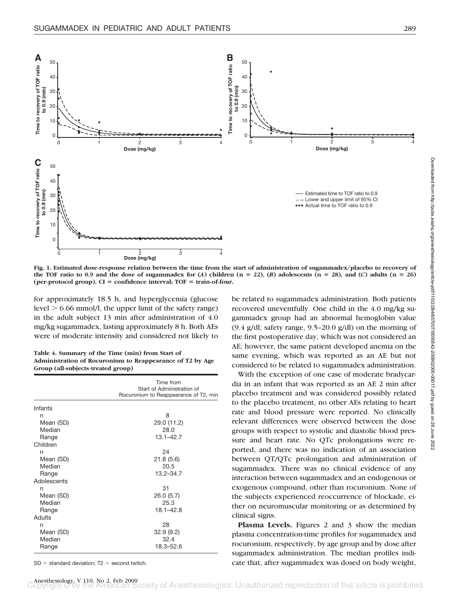

**Fig. 1. Estimated dose-response relation between the time from the start of administration of sugammadex/placebo to recovery of** the TOF ratio to 0.9 and the dose of sugammadex for  $(A)$  children  $(n = 22)$ ,  $(B)$  adolescents  $(n = 28)$ , and  $(C)$  adults  $(n = 26)$ **(per-protocol group). CI confidence interval; TOF train-of-four.**

for approximately 18.5 h, and hyperglycemia (glucose level  $> 6.66$  mmol/l, the upper limit of the safety range) in the adult subject 13 min after administration of 4.0 mg/kg sugammadex, lasting approximately 8 h. Both AEs were of moderate intensity and considered not likely to

**Table 4. Summary of the Time (min) from Start of Administration of Rocuronium to Reappearance of T2 by Age Group (all-subjects-treated group)**

|             | Time from<br>Start of Administration of<br>Rocuronium to Reappearance of T2, min |
|-------------|----------------------------------------------------------------------------------|
| Infants     |                                                                                  |
| n           | 8                                                                                |
| Mean (SD)   | 29.0 (11.2)                                                                      |
| Median      | 28.0                                                                             |
| Range       | $13.1 - 42.7$                                                                    |
| Children    |                                                                                  |
| n           | 24                                                                               |
| Mean (SD)   | 21.8(5.6)                                                                        |
| Median      | 20.5                                                                             |
| Range       | $13.2 - 34.7$                                                                    |
| Adolescents |                                                                                  |
| n           | 31                                                                               |
| Mean (SD)   | 26.0 (5.7)                                                                       |
| Median      | 25.3                                                                             |
| Range       | $18.1 - 42.8$                                                                    |
| Adults      |                                                                                  |
| n           | 28                                                                               |
| Mean (SD)   | 32.9(9.2)                                                                        |
| Median      | 32.4                                                                             |
| Range       | 18.3-52.6                                                                        |

 $SD = standard deviation$ ;  $T2 = second$  twitch.

be related to sugammadex administration. Both patients recovered uneventfully. One child in the 4.0 mg/kg sugammadex group had an abnormal hemoglobin value  $(9.4 \text{ g/dl})$ ; safety range, 9.5–20.0 g/dl) on the morning of the first postoperative day, which was not considered an AE; however, the same patient developed anemia on the same evening, which was reported as an AE but not considered to be related to sugammadex administration.

With the exception of one case of moderate bradycardia in an infant that was reported as an AE 2 min after placebo treatment and was considered possibly related to the placebo treatment, no other AEs relating to heart rate and blood pressure were reported. No clinically relevant differences were observed between the dose groups with respect to systolic and diastolic blood pressure and heart rate. No QTc prolongations were reported, and there was no indication of an association between QT/QTc prolongation and administration of sugammadex. There was no clinical evidence of any interaction between sugammadex and an endogenous or exogenous compound, other than rocuronium. None of the subjects experienced reoccurrence of blockade, either on neuromuscular monitoring or as determined by clinical signs.

**Plasma Levels.** Figures 2 and 3 show the median plasma concentration-time profiles for sugammadex and rocuronium, respectively, by age group and by dose after sugammadex administration. The median profiles indicate that, after sugammadex was dosed on body weight,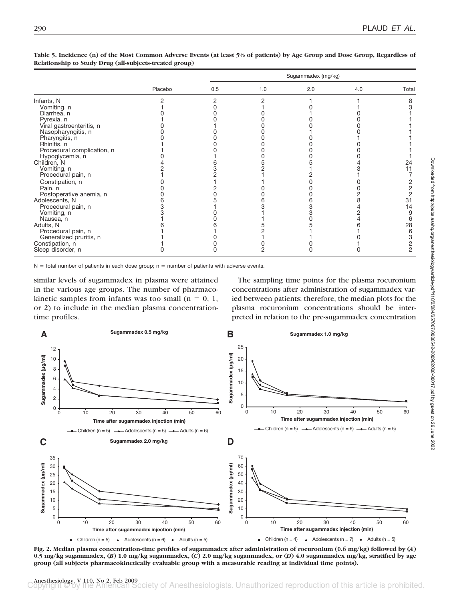|                            | Placebo | Sugammadex (mg/kg) |     |     |     |               |  |
|----------------------------|---------|--------------------|-----|-----|-----|---------------|--|
|                            |         | 0.5                | 1.0 | 2.0 | 4.0 | Total         |  |
| Infants, N                 |         |                    |     |     |     |               |  |
| Vomiting, n                |         |                    |     |     |     |               |  |
| Diarrhea, n                |         |                    |     |     |     |               |  |
| Pyrexia, n                 |         |                    |     |     |     |               |  |
| Viral gastroenteritis, n   |         |                    |     |     |     |               |  |
| Nasopharyngitis, n         |         |                    |     |     |     |               |  |
| Pharyngitis, n             |         |                    |     |     |     |               |  |
| Rhinitis, n                |         |                    |     |     |     |               |  |
| Procedural complication, n |         |                    |     |     |     |               |  |
| Hypoglycemia, n            |         |                    |     |     |     |               |  |
| Children, N                |         |                    |     |     |     | 24            |  |
| Vomiting, n                |         |                    |     |     |     | 11            |  |
| Procedural pain, n         |         |                    |     |     |     |               |  |
| Constipation, n            |         |                    |     |     |     |               |  |
| Pain, n                    |         |                    |     |     |     |               |  |
| Postoperative anemia, n    |         |                    |     |     |     |               |  |
| Adolescents, N             |         |                    |     |     |     | 31            |  |
| Procedural pain, n         |         |                    |     |     |     | 14            |  |
| Vomiting, n                |         |                    |     |     |     | 9             |  |
| Nausea, n                  |         |                    |     |     |     | 6             |  |
| Adults, N                  |         |                    |     |     |     | 28            |  |
| Procedural pain, n         |         |                    |     |     |     | 6             |  |
| Generalized pruritis, n    |         |                    |     |     |     | 3             |  |
| Constipation, n            |         |                    |     |     |     | $\frac{2}{2}$ |  |
| Sleep disorder, n          |         | ი                  | 2   |     | Ω   |               |  |

**Table 5. Incidence (n) of the Most Common Adverse Events (at least 5% of patients) by Age Group and Dose Group, Regardless of Relationship to Study Drug (all-subjects-treated group)**

 $N =$  total number of patients in each dose group;  $n =$  number of patients with adverse events.

similar levels of sugammadex in plasma were attained in the various age groups. The number of pharmacokinetic samples from infants was too small  $(n = 0, 1, ...)$ or 2) to include in the median plasma concentrationtime profiles.

The sampling time points for the plasma rocuronium concentrations after administration of sugammadex varied between patients; therefore, the median plots for the plasma rocuronium concentrations should be interpreted in relation to the pre-sugammadex concentration



**Fig. 2. Median plasma concentration-time profiles of sugammadex after administration of rocuronium (0.6 mg/kg) followed by (***A***) 0.5 mg/kg sugammadex, (***B***) 1.0 mg/kg sugammadex, (***C***) 2.0 mg/kg sugammadex, or (***D***) 4.0 sugammadex mg/kg, stratified by age group (all subjects pharmacokinetically evaluable group with a measurable reading at individual time points).**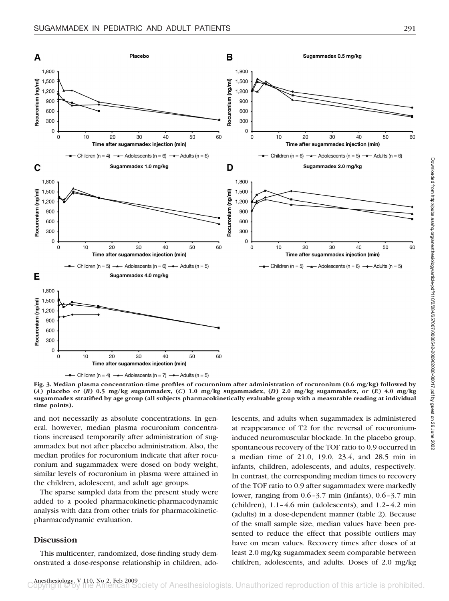

**Fig. 3. Median plasma concentration-time profiles of rocuronium after administration of rocuronium (0.6 mg/kg) followed by (***A***) placebo or (***B***) 0.5 mg/kg sugammadex, (***C***) 1.0 mg/kg sugammadex, (***D***) 2.0 mg/kg sugammadex, or (***E***) 4.0 mg/kg sugammadex stratified by age group (all subjects pharmacokinetically evaluable group with a measurable reading at individual time points).**

and not necessarily as absolute concentrations. In general, however, median plasma rocuronium concentrations increased temporarily after administration of sugammadex but not after placebo administration. Also, the median profiles for rocuronium indicate that after rocuronium and sugammadex were dosed on body weight, similar levels of rocuronium in plasma were attained in the children, adolescent, and adult age groups.

The sparse sampled data from the present study were added to a pooled pharmacokinetic-pharmacodynamic analysis with data from other trials for pharmacokineticpharmacodynamic evaluation.

# **Discussion**

This multicenter, randomized, dose-finding study demonstrated a dose-response relationship in children, ado-

lescents, and adults when sugammadex is administered at reappearance of T2 for the reversal of rocuroniuminduced neuromuscular blockade. In the placebo group, spontaneous recovery of the TOF ratio to 0.9 occurred in a median time of 21.0, 19.0, 23.4, and 28.5 min in infants, children, adolescents, and adults, respectively. In contrast, the corresponding median times to recovery of the TOF ratio to 0.9 after sugammadex were markedly lower, ranging from 0.6–3.7 min (infants), 0.6–3.7 min (children), 1.1–4.6 min (adolescents), and 1.2–4.2 min (adults) in a dose-dependent manner (table 2). Because of the small sample size, median values have been presented to reduce the effect that possible outliers may have on mean values. Recovery times after doses of at least 2.0 mg/kg sugammadex seem comparable between children, adolescents, and adults. Doses of 2.0 mg/kg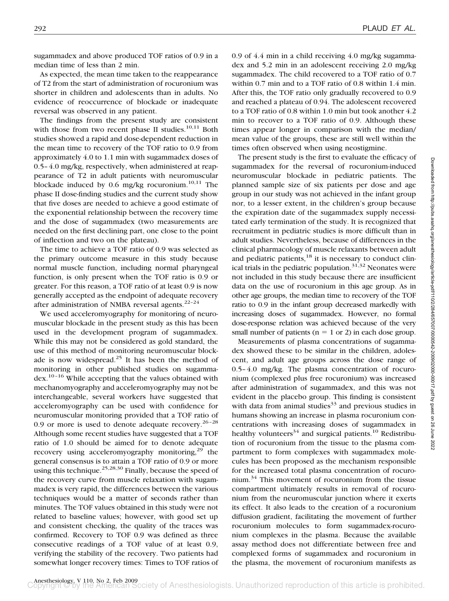sugammadex and above produced TOF ratios of 0.9 in a median time of less than 2 min.

As expected, the mean time taken to the reappearance of T2 from the start of administration of rocuronium was shorter in children and adolescents than in adults. No evidence of reoccurrence of blockade or inadequate reversal was observed in any patient.

The findings from the present study are consistent with those from two recent phase II studies.<sup>10,11</sup> Both studies showed a rapid and dose-dependent reduction in the mean time to recovery of the TOF ratio to 0.9 from approximately 4.0 to 1.1 min with sugammadex doses of 0.5–4.0 mg/kg, respectively, when administered at reappearance of T2 in adult patients with neuromuscular blockade induced by 0.6 mg/kg rocuronium.<sup>10,11</sup> The phase II dose-finding studies and the current study show that five doses are needed to achieve a good estimate of the exponential relationship between the recovery time and the dose of sugammadex (two measurements are needed on the first declining part, one close to the point of inflection and two on the plateau).

The time to achieve a TOF ratio of 0.9 was selected as the primary outcome measure in this study because normal muscle function, including normal pharyngeal function, is only present when the TOF ratio is 0.9 or greater. For this reason, a TOF ratio of at least 0.9 is now generally accepted as the endpoint of adequate recovery after administration of NMBA reversal agents. $22-24$ 

We used acceleromyography for monitoring of neuromuscular blockade in the present study as this has been used in the development program of sugammadex. While this may not be considered as gold standard, the use of this method of monitoring neuromuscular blockade is now widespread.<sup>25</sup> It has been the method of monitoring in other published studies on sugammadex.10–16 While accepting that the values obtained with mechanomyography and acceleromyography may not be interchangeable, several workers have suggested that acceleromyography can be used with confidence for neuromuscular monitoring provided that a TOF ratio of 0.9 or more is used to denote adequate recovery.<sup>26-28</sup> Although some recent studies have suggested that a TOF ratio of 1.0 should be aimed for to denote adequate recovery using acceleromyography monitoring, $2^9$  the general consensus is to attain a TOF ratio of 0.9 or more using this technique.<sup>25,28,30</sup> Finally, because the speed of the recovery curve from muscle relaxation with sugammadex is very rapid, the differences between the various techniques would be a matter of seconds rather than minutes. The TOF values obtained in this study were not related to baseline values; however, with good set up and consistent checking, the quality of the traces was confirmed. Recovery to TOF 0.9 was defined as three consecutive readings of a TOF value of at least 0.9, verifying the stability of the recovery. Two patients had somewhat longer recovery times: Times to TOF ratios of

0.9 of 4.4 min in a child receiving 4.0 mg/kg sugammadex and 5.2 min in an adolescent receiving 2.0 mg/kg sugammadex. The child recovered to a TOF ratio of 0.7 within 0.7 min and to a TOF ratio of 0.8 within 1.4 min. After this, the TOF ratio only gradually recovered to 0.9 and reached a plateau of 0.94. The adolescent recovered to a TOF ratio of 0.8 within 1.0 min but took another 4.2 min to recover to a TOF ratio of 0.9. Although these times appear longer in comparison with the median/ mean value of the groups, these are still well within the times often observed when using neostigmine.

The present study is the first to evaluate the efficacy of sugammadex for the reversal of rocuronium-induced neuromuscular blockade in pediatric patients. The planned sample size of six patients per dose and age group in our study was not achieved in the infant group nor, to a lesser extent, in the children's group because the expiration date of the sugammadex supply necessitated early termination of the study. It is recognized that recruitment in pediatric studies is more difficult than in adult studies. Nevertheless, because of differences in the clinical pharmacology of muscle relaxants between adult and pediatric patients, $18$  it is necessary to conduct clinical trials in the pediatric population. $31,32$  Neonates were not included in this study because there are insufficient data on the use of rocuronium in this age group. As in other age groups, the median time to recovery of the TOF ratio to 0.9 in the infant group decreased markedly with increasing doses of sugammadex. However, no formal dose-response relation was achieved because of the very small number of patients ( $n = 1$  or 2) in each dose group.

Measurements of plasma concentrations of sugammadex showed these to be similar in the children, adolescent, and adult age groups across the dose range of 0.5–4.0 mg/kg. The plasma concentration of rocuronium (complexed plus free rocuronium) was increased after administration of sugammadex, and this was not evident in the placebo group. This finding is consistent with data from animal studies<sup>33</sup> and previous studies in humans showing an increase in plasma rocuronium concentrations with increasing doses of sugammadex in healthy volunteers<sup>34</sup> and surgical patients.<sup>10</sup> Redistribution of rocuronium from the tissue to the plasma compartment to form complexes with sugammadex molecules has been proposed as the mechanism responsible for the increased total plasma concentration of rocuronium. $34$  This movement of rocuronium from the tissue compartment ultimately results in removal of rocuronium from the neuromuscular junction where it exerts its effect. It also leads to the creation of a rocuronium diffusion gradient, facilitating the movement of further rocuronium molecules to form sugammadex-rocuronium complexes in the plasma. Because the available assay method does not differentiate between free and complexed forms of sugammadex and rocuronium in the plasma, the movement of rocuronium manifests as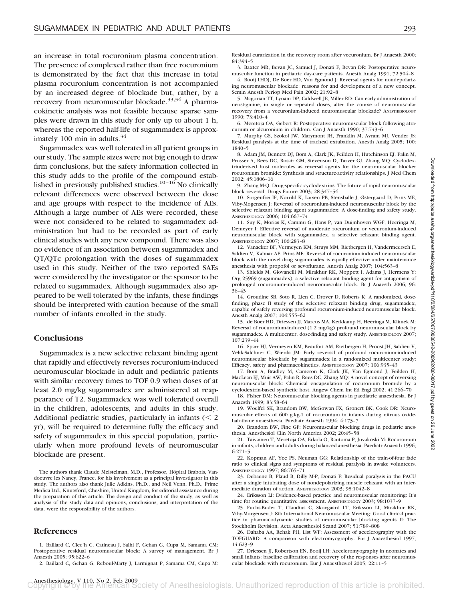an increase in total rocuronium plasma concentration. The presence of complexed rather than free rocuronium is demonstrated by the fact that this increase in total plasma rocuronium concentration is not accompanied by an increased degree of blockade but, rather, by a recovery from neuromuscular blockade.<sup>33,34</sup> A pharmacokinetic analysis was not feasible because sparse samples were drawn in this study for only up to about 1 h, whereas the reported half-life of sugammadex is approximately 100 min in adults. $34$ 

Sugammadex was well tolerated in all patient groups in our study. The sample sizes were not big enough to draw firm conclusions, but the safety information collected in this study adds to the profile of the compound established in previously published studies. $10-16$  No clinically relevant differences were observed between the dose and age groups with respect to the incidence of AEs. Although a large number of AEs were recorded, these were not considered to be related to sugammadex administration but had to be recorded as part of early clinical studies with any new compound. There was also no evidence of an association between sugammadex and QT/QTc prolongation with the doses of sugammadex used in this study. Neither of the two reported SAEs were considered by the investigator or the sponsor to be related to sugammadex. Although sugammadex also appeared to be well tolerated by the infants, these findings should be interpreted with caution because of the small number of infants enrolled in the study.

# **Conclusions**

Sugammadex is a new selective relaxant binding agent that rapidly and effectively reverses rocuronium-induced neuromuscular blockade in adult and pediatric patients with similar recovery times to TOF 0.9 when doses of at least 2.0 mg/kg sugammadex are administered at reappearance of T2. Sugammadex was well tolerated overall in the children, adolescents, and adults in this study. Additional pediatric studies, particularly in infants  $\langle \langle 2 \rangle$ yr), will be required to determine fully the efficacy and safety of sugammadex in this special population, particularly when more profound levels of neuromuscular blockade are present.

The authors thank Claude Meistelman, M.D., Professor, Hôpital Brabois, Vandoeuvre les Nancy, France, for his involvement as a principal investigator in this study. The authors also thank Julie Adkins, Ph.D., and Neil Venn, Ph.D., Prime Medica Ltd., Knutsford, Cheshire, United Kingdom, for editorial assistance during the preparation of this article. The design and conduct of the study, as well as analysis of the study data and opinions, conclusions, and interpretation of the data, were the responsibility of the authors.

# **References**

1. Baillard C, Clec'h C, Catineau J, Salhi F, Gehan G, Cupa M, Samama CM: Postoperative residual neuromuscular block: A survey of management. Br J Anaesth 2005; 95:622–6

2. Baillard C, Gehan G, Reboul-Marty J, Larmignat P, Samama CM, Cupa M:

Residual curarization in the recovery room after vecuronium. Br J Anaesth 2000; 84:394–5

3. Baxter MR, Bevan JC, Samuel J, Donati F, Bevan DR: Postoperative neuromuscular function in pediatric day-care patients. Anesth Analg 1991; 72:504–8 4. Booij LHDJ, De Boer HD, Van Egmond J: Reversal agents for nondepolariz-

ing neuromuscular blockade: reasons for and development of a new concept. Semin Anesth Periop Med Pain 2002; 21:92–8

5. Magorian TT, Lynam DP, Caldwell JE, Miller RD: Can early administration of neostigmine, in single or repeated doses, alter the course of neuromuscular recovery from a vecuronium-induced neuromuscular blockade? ANESTHESIOLOGY 1990; 73:410–4

6. Meretoja OA, Gebert R: Postoperative neuromuscular block following atracurium or alcuronium in children. Can J Anaesth 1990; 37:743–6

7. Murphy GS, Szokol JW, Marymont JH, Franklin M, Avram MJ, Vender JS: Residual paralysis at the time of tracheal extubation. Anesth Analg 2005; 100: 1840–5

8. Adam JM, Bennett DJ, Bom A, Clark JK, Feilden H, Hutchinson EJ, Palin M, Prosser A, Rees DC, Rosair GM, Stevenson D, Tarver GJ, Zhang MQ: Cyclodextrinderived host molecules as reversal agents for the neuromuscular blocker rocuronium bromide: Synthesis and structure-activity relationships. J Med Chem 2002; 45:1806–16

9. Zhang M-Q: Drug-specific cyclodextrins: The future of rapid neuromuscular block reversal. Drugs Future 2003; 28:347–54

10. Sorgenfrei IF, Norrild K, Larsen PB, Stensballe J, Østergaard D, Prins ME, Viby-Mogensen J: Reversal of rocuronium-induced neuromuscular block by the selective relaxant binding agent sugammadex: A dose-finding and safety study. ANESTHESIOLOGY 2006; 104:667–74

11. Suy K, Morias K, Cammu G, Hans P, van Duijnhoven WGF, Heeringa M, Demeyer I: Effective reversal of moderate rocuronium or vecuronium-induced neuromuscular block with sugammadex, a selective relaxant binding agent. ANESTHESIOLOGY 2007; 106:283–8

12. Vanacker BF, Vermeyen KM, Struys MM, Rietbergen H, Vandermeersch E, Saldien V, Kalmar AF, Prins ME: Reversal of rocuronium-induced neuromuscular block with the novel drug sugammadex is equally effective under maintenance anesthesia with propofol or sevoflurane. Anesth Analg 2007; 104:563–8

13. Shields M, Giovanelli M, Mirakhur RK, Moppett I, Adams J, Hermens Y: Org 25969 (sugammadex), a selective relaxant binding agent for antagonism of prolonged rocuronium-induced neuromuscular block. Br J Anaesth 2006; 96: 36–43

14. Groudine SB, Soto R, Lien C, Drover D, Roberts K: A randomized, dosefinding, phase II study of the selective relaxant binding drug, sugammadex, capable of safely reversing profound rocuronium-induced neuromuscular block. Anesth Analg 2007; 104:555–62

15. de Boer HD, Driessen JJ, Marcus MA, Kerkkamp H, Heeringa M, Klimek M: Reversal of rocuronium-induced (1.2 mg/kg) profound neuromuscular block by sugammadex. A multicenter, dose-finding and safety study. ANESTHESIOLOGY 2007; 107:239–44

16. Sparr HJ, Vermeyen KM, Beaufort AM, Rietbergen H, Proost JH, Saldien V, Velik-Salchner C, Wierda JM: Early reversal of profound rocuronium-induced neuromuscular blockade by sugammadex in a randomized multicenter study: Efficacy, safety and pharmacokinetics. ANESTHESIOLOGY 2007; 106:935–43

17. Bom A, Bradley M, Cameron K, Clark JK, Van Egmond J, Feilden H, MacLean EJ, Muir AW, Palin R, Rees DC, Zhang MQ: A novel concept of reversing neuromuscular block: Chemical encapsulation of rocuronium bromide by a cyclodextrin-based synthetic host. Angew Chem Int Ed Engl 2002; 41:266–70

18. Fisher DM: Neuromuscular blocking agents in paediatric anaesthesia. Br J Anaesth 1999; 83:58–64

19. Woelfel SK, Brandom BW, McGowan FX, Gronert BK, Cook DR: Neuromuscular effects of 600 g.kg-1 of rocuronium in infants during nitrous oxidehalothane anaesthesia. Paediatr Anaesth 1994; 4:173–7

20. Brandom BW, Fine GF: Neuromuscular blocking drugs in pediatric anesthesia. Anesthesiol Clin North America 2002; 20:45–58

21. Taivainen T, Meretoja OA, Erkola O, Rautoma P, Juvakoski M: Rocuronium in infants, children and adults during balanced anesthesia. Paediatr Anaesth 1996; 6:271–5

22. Kopman AF, Yee PS, Neuman GG: Relationship of the train-of-four fade ratio to clinical signs and symptoms of residual paralysis in awake volunteers. ANESTHESIOLOGY 1997; 86:765–71

23. Debaene B, Plaud B, Dilly M-P, Donati F: Residual paralysis in the PACU after a single intubating dose of nondepolarizing muscle relaxant with an intermediate duration of action. ANESTHESIOLOGY 2003; 98:1042–8

24. Eriksson LI: Evidence-based practice and neuromuscular monitoring: It's time for routine quantitative assessment. ANESTHESIOLOGY 2003; 98:1037–9

25. Fuchs-Buder T, Claudius C, Skovgaard LT, Eriksson LI, Mirakhur RK, Viby-Morgensen J: 8th International Neuromuscular Meeting: Good clinical practice in pharmacodynamic studies of neuromuscular blocking agents II: The Stockholm Revision. Acta Anaesthesiol Scand 2007; 51:789–808

26. Dahaba AA, Rehak PH, List WF: Assessment of accelerography with the TOFGUARD: A comparison with electromyography. Eur J Anaesthesiol 1997; 14:623–9

27. Driessen JJ, Robertson EN, Booij LH: Acceleromyography in neonates and small infants: baseline calibration and recovery of the responses after neuromuscular blockade with rocuronium. Eur J Anaesthesiol 2005; 22:11–5